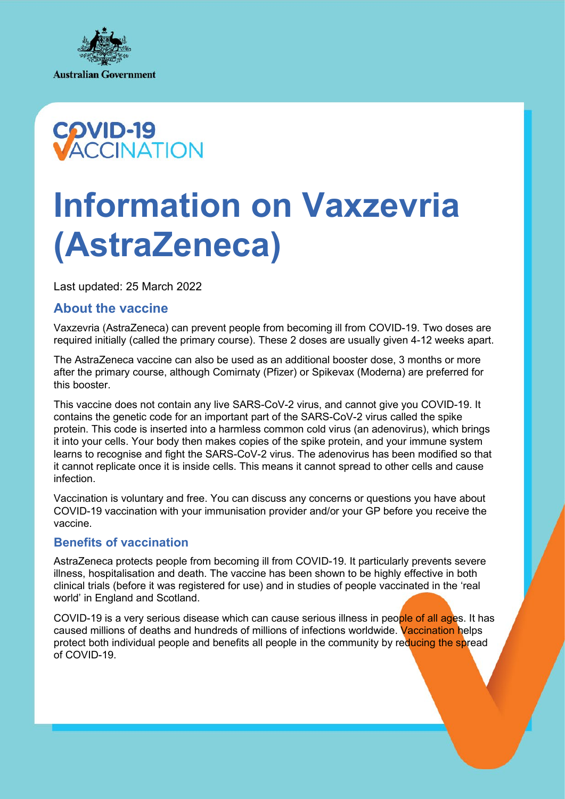



# **Information on Vaxzevria (AstraZeneca)**

Last updated: 25 March 2022

# **About the vaccine**

Vaxzevria (AstraZeneca) can prevent people from becoming ill from COVID-19. Two doses are required initially (called the primary course). These 2 doses are usually given 4-12 weeks apart.

The AstraZeneca vaccine can also be used as an additional booster dose, 3 months or more after the primary course, although Comirnaty (Pfizer) or Spikevax (Moderna) are preferred for this booster.

This vaccine does not contain any live SARS-CoV-2 virus, and cannot give you COVID-19. It contains the genetic code for an important part of the SARS-CoV-2 virus called the spike protein. This code is inserted into a harmless common cold virus (an adenovirus), which brings it into your cells. Your body then makes copies of the spike protein, and your immune system learns to recognise and fight the SARS-CoV-2 virus. The adenovirus has been modified so that it cannot replicate once it is inside cells. This means it cannot spread to other cells and cause infection.

Vaccination is voluntary and free. You can discuss any concerns or questions you have about COVID-19 vaccination with your immunisation provider and/or your GP before you receive the vaccine.

# **Benefits of vaccination**

AstraZeneca protects people from becoming ill from COVID-19. It particularly prevents severe illness, hospitalisation and death. The vaccine has been shown to be highly effective in both clinical trials (before it was registered for use) and in studies of people vaccinated in the 'real world' in England and Scotland.

COVID-19 is a very serious disease which can cause serious illness in people of all ages. It has caused millions of deaths and hundreds of millions of infections worldwide. Vaccination helps protect both individual people and benefits all people in the community by reducing the spread of COVID-19.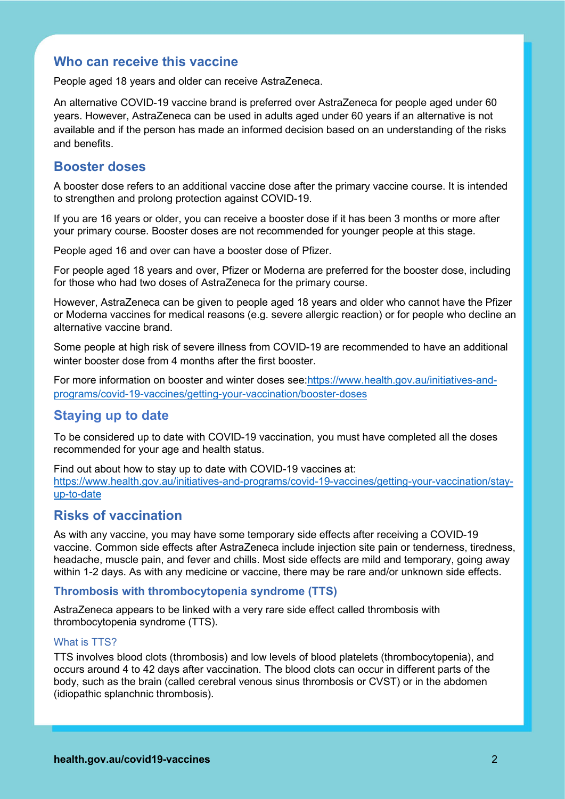# **Who can receive this vaccine**

People aged 18 years and older can receive AstraZeneca.

An alternative COVID-19 vaccine brand is preferred over AstraZeneca for people aged under 60 years. However, AstraZeneca can be used in adults aged under 60 years if an alternative is not available and if the person has made an informed decision based on an understanding of the risks and benefits.

# **Booster doses**

A booster dose refers to an additional vaccine dose after the primary vaccine course. It is intended to strengthen and prolong protection against COVID-19.

If you are 16 years or older, you can receive a booster dose if it has been 3 months or more after your primary course. Booster doses are not recommended for younger people at this stage.

People aged 16 and over can have a booster dose of Pfizer.

For people aged 18 years and over, Pfizer or Moderna are preferred for the booster dose, including for those who had two doses of AstraZeneca for the primary course.

However, AstraZeneca can be given to people aged 18 years and older who cannot have the Pfizer or Moderna vaccines for medical reasons (e.g. severe allergic reaction) or for people who decline an alternative vaccine brand.

Some people at high risk of severe illness from COVID-19 are recommended to have an additional winter booster dose from 4 months after the first booster.

For more information on booster and winter doses see[:https://www.health.gov.au/initiatives-and](https://www.health.gov.au/initiatives-and-programs/covid-19-vaccines/getting-your-vaccination/booster-doses)[programs/covid-19-vaccines/getting-your-vaccination/booster-doses](https://www.health.gov.au/initiatives-and-programs/covid-19-vaccines/getting-your-vaccination/booster-doses)

## **Staying up to date**

To be considered up to date with COVID-19 vaccination, you must have completed all the doses recommended for your age and health status.

Find out about how to stay up to date with COVID-19 vaccines at: [https://www.health.gov.au/initiatives-and-programs/covid-19-vaccines/getting-your-vaccination/stay](https://www.health.gov.au/initiatives-and-programs/covid-19-vaccines/getting-your-vaccination/stay-up-to-date)[up-to-date](https://www.health.gov.au/initiatives-and-programs/covid-19-vaccines/getting-your-vaccination/stay-up-to-date)

# **Risks of vaccination**

As with any vaccine, you may have some temporary side effects after receiving a COVID-19 vaccine. Common side effects after AstraZeneca include injection site pain or tenderness, tiredness, headache, muscle pain, and fever and chills. Most side effects are mild and temporary, going away within 1-2 days. As with any medicine or vaccine, there may be rare and/or unknown side effects.

#### **Thrombosis with thrombocytopenia syndrome (TTS)**

AstraZeneca appears to be linked with a very rare side effect called thrombosis with thrombocytopenia syndrome (TTS).

#### What is TTS?

TTS involves blood clots (thrombosis) and low levels of blood platelets (thrombocytopenia), and occurs around 4 to 42 days after vaccination. The blood clots can occur in different parts of the body, such as the brain (called cerebral venous sinus thrombosis or CVST) or in the abdomen (idiopathic splanchnic thrombosis).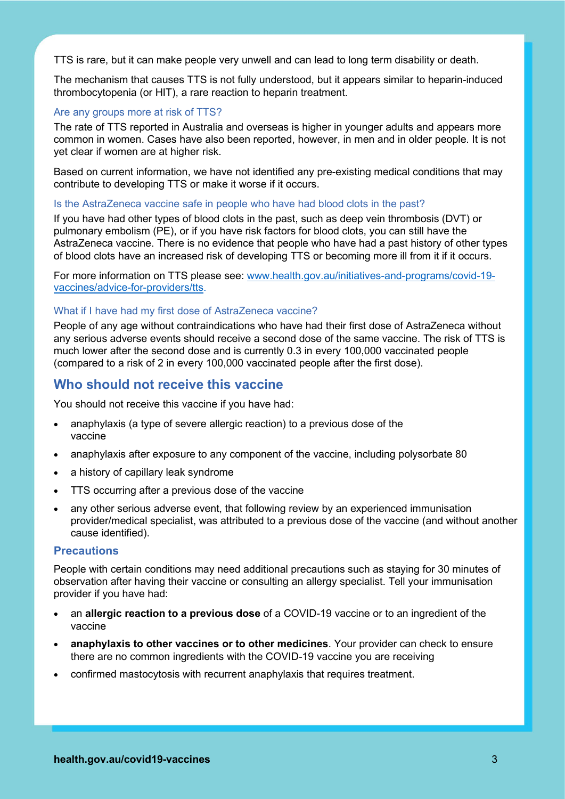TTS is rare, but it can make people very unwell and can lead to long term disability or death.

The mechanism that causes TTS is not fully understood, but it appears similar to heparin-induced thrombocytopenia (or HIT), a rare reaction to heparin treatment.

#### Are any groups more at risk of TTS?

The rate of TTS reported in Australia and overseas is higher in younger adults and appears more common in women. Cases have also been reported, however, in men and in older people. It is not yet clear if women are at higher risk.

Based on current information, we have not identified any pre-existing medical conditions that may contribute to developing TTS or make it worse if it occurs.

#### Is the AstraZeneca vaccine safe in people who have had blood clots in the past?

If you have had other types of blood clots in the past, such as deep vein thrombosis (DVT) or pulmonary embolism (PE), or if you have risk factors for blood clots, you can still have the AstraZeneca vaccine. There is no evidence that people who have had a past history of other types of blood clots have an increased risk of developing TTS or becoming more ill from it if it occurs.

For more information on TTS please see: [www.health.gov.au/initiatives-and-programs/covid-19](http://www.health.gov.au/initiatives-and-programs/covid-19-vaccines/advice-for-providers/tts) [vaccines/advice-for-providers/tts.](http://www.health.gov.au/initiatives-and-programs/covid-19-vaccines/advice-for-providers/tts)

#### What if I have had my first dose of AstraZeneca vaccine?

People of any age without contraindications who have had their first dose of AstraZeneca without any serious adverse events should receive a second dose of the same vaccine. The risk of TTS is much lower after the second dose and is currently 0.3 in every 100,000 vaccinated people (compared to a risk of 2 in every 100,000 vaccinated people after the first dose).

### **Who should not receive this vaccine**

You should not receive this vaccine if you have had:

- anaphylaxis (a type of severe allergic reaction) to a previous dose of the vaccine
- anaphylaxis after exposure to any component of the vaccine, including polysorbate 80
- a history of capillary leak syndrome
- TTS occurring after a previous dose of the vaccine
- any other serious adverse event, that following review by an experienced immunisation provider/medical specialist, was attributed to a previous dose of the vaccine (and without another cause identified).

#### **Precautions**

People with certain conditions may need additional precautions such as staying for 30 minutes of observation after having their vaccine or consulting an allergy specialist. Tell your immunisation provider if you have had:

- an **allergic reaction to a previous dose** of a COVID-19 vaccine or to an ingredient of the vaccine
- **anaphylaxis to other vaccines or to other medicines**. Your provider can check to ensure there are no common ingredients with the COVID-19 vaccine you are receiving
- confirmed mastocytosis with recurrent anaphylaxis that requires treatment.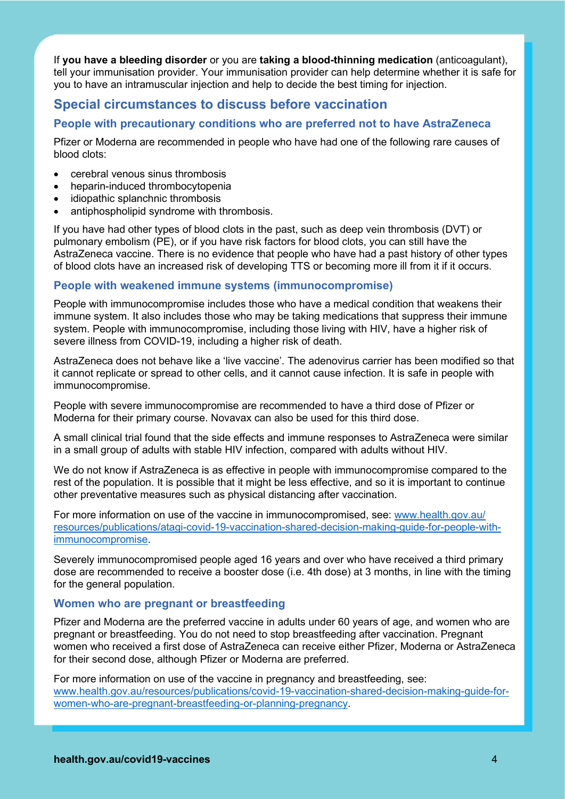If **you have a bleeding disorder** or you are **taking a blood-thinning medication** (anticoagulant), tell your immunisation provider. Your immunisation provider can help determine whether it is safe for you to have an intramuscular injection and help to decide the best timing for injection.

# **Special circumstances to discuss before vaccination**

## **People with precautionary conditions who are preferred not to have AstraZeneca**

Pfizer or Moderna are recommended in people who have had one of the following rare causes of blood clots:

- cerebral venous sinus thrombosis
- heparin-induced thrombocytopenia
- idiopathic splanchnic thrombosis
- antiphospholipid syndrome with thrombosis.

If you have had other types of blood clots in the past, such as deep vein thrombosis (DVT) or pulmonary embolism (PE), or if you have risk factors for blood clots, you can still have the AstraZeneca vaccine. There is no evidence that people who have had a past history of other types of blood clots have an increased risk of developing TTS or becoming more ill from it if it occurs.

### **People with weakened immune systems (immunocompromise)**

People with immunocompromise includes those who have a medical condition that weakens their immune system. It also includes those who may be taking medications that suppress their immune system. People with immunocompromise, including those living with HIV, have a higher risk of severe illness from COVID-19, including a higher risk of death.

AstraZeneca does not behave like a 'live vaccine'. The adenovirus carrier has been modified so that it cannot replicate or spread to other cells, and it cannot cause infection. It is safe in people with immunocompromise.

People with severe immunocompromise are recommended to have a third dose of Pfizer or Moderna for their primary course. Novavax can also be used for this third dose.

A small clinical trial found that the side effects and immune responses to AstraZeneca were similar in a small group of adults with stable HIV infection, compared with adults without HIV.

We do not know if AstraZeneca is as effective in people with immunocompromise compared to the rest of the population. It is possible that it might be less effective, and so it is important to continue other preventative measures such as physical distancing after vaccination.

For more information on use of the vaccine in immunocompromised, see: www.health.gov.au/ resources/publications/atagi-covid-19-vaccination-shared-decision-making-guide-for-people-withimmunocompromise.

Severely immunocompromised people aged 16 years and over who have received a third primary dose are recommended to receive a booster dose (i.e. 4th dose) at 3 months, in line with the timing for the general population.

#### **Women who are pregnant or breastfeeding**

Pfizer and Moderna are the preferred vaccine in adults under 60 years of age, and women who are pregnant or breastfeeding. You do not need to stop breastfeeding after vaccination. Pregnant women who received a first dose of AstraZeneca can receive either Pfizer, Moderna or AstraZeneca for their second dose, although Pfizer or Moderna are preferred.

For more information on use of the vaccine in pregnancy and breastfeeding, see: www.health.gov.au/resources/publications/covid-19-vaccination-shared-decision-making-guide-forwomen-who-are-pregnant-breastfeeding-or-planning-pregnancy.